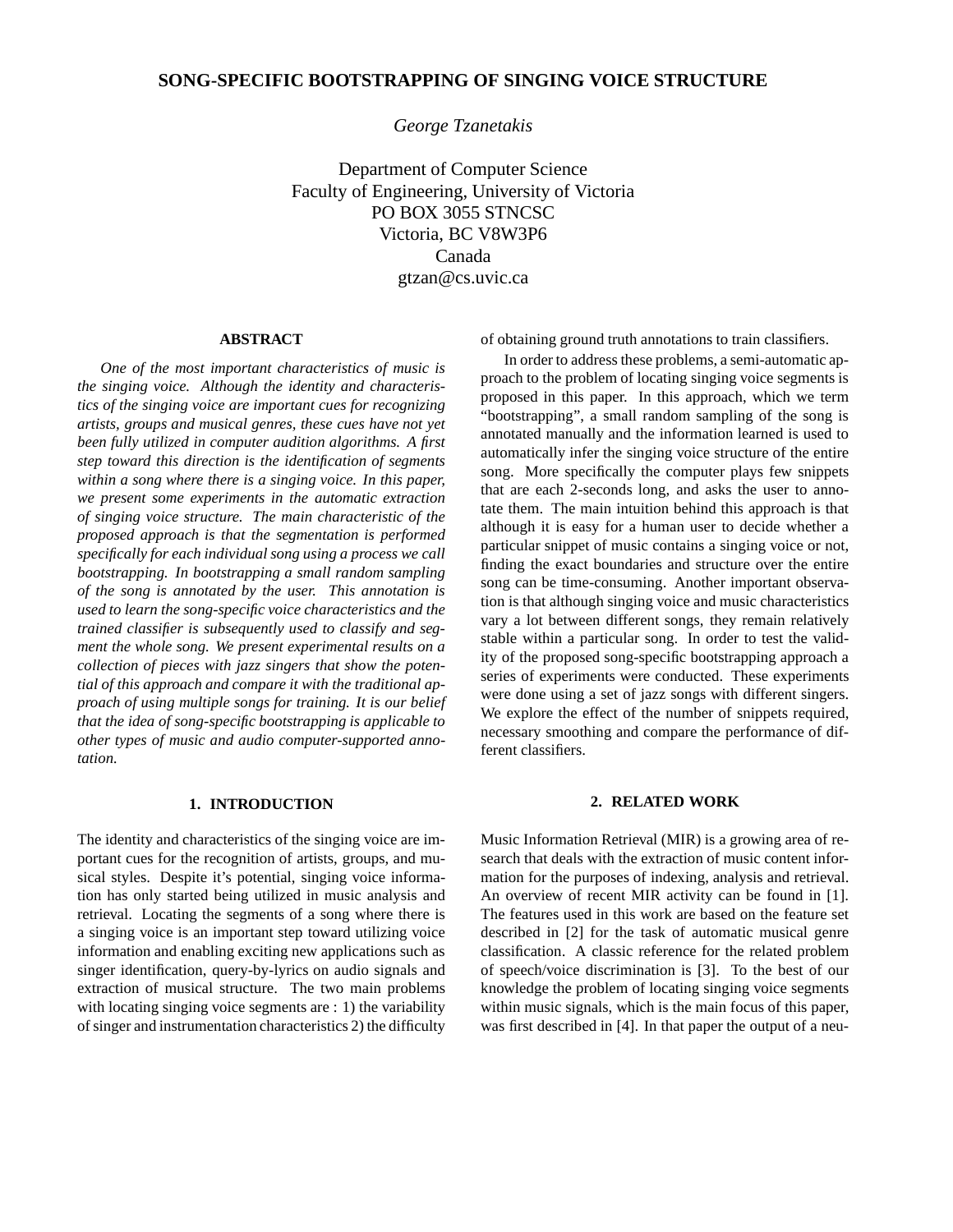# **SONG-SPECIFIC BOOTSTRAPPING OF SINGING VOICE STRUCTURE**

*George Tzanetakis*

Department of Computer Science Faculty of Engineering, University of Victoria PO BOX 3055 STNCSC Victoria, BC V8W3P6 Canada gtzan@cs.uvic.ca

## **ABSTRACT**

*One of the most important characteristics of music is the singing voice. Although the identity and characteristics of the singing voice are important cues for recognizing artists, groups and musical genres, these cues have not yet been fully utilized in computer audition algorithms. A first step toward this direction is the identification of segments within a song where there is a singing voice. In this paper, we present some experiments in the automatic extraction of singing voice structure. The main characteristic of the proposed approach is that the segmentation is performed specifically for each individual song using a process we call bootstrapping. In bootstrapping a small random sampling of the song is annotated by the user. This annotation is used to learn the song-specific voice characteristics and the trained classifier is subsequently used to classify and segment the whole song. We present experimental results on a collection of pieces with jazz singers that show the potential of this approach and compare it with the traditional approach of using multiple songs for training. It is our belief that the idea of song-specific bootstrapping is applicable to other types of music and audio computer-supported annotation.*

### **1. INTRODUCTION**

The identity and characteristics of the singing voice are important cues for the recognition of artists, groups, and musical styles. Despite it's potential, singing voice information has only started being utilized in music analysis and retrieval. Locating the segments of a song where there is a singing voice is an important step toward utilizing voice information and enabling exciting new applications such as singer identification, query-by-lyrics on audio signals and extraction of musical structure. The two main problems with locating singing voice segments are : 1) the variability of singer and instrumentation characteristics 2) the difficulty of obtaining ground truth annotations to train classifiers.

In order to address these problems, a semi-automatic approach to the problem of locating singing voice segments is proposed in this paper. In this approach, which we term "bootstrapping", a small random sampling of the song is annotated manually and the information learned is used to automatically infer the singing voice structure of the entire song. More specifically the computer plays few snippets that are each 2-seconds long, and asks the user to annotate them. The main intuition behind this approach is that although it is easy for a human user to decide whether a particular snippet of music contains a singing voice or not, finding the exact boundaries and structure over the entire song can be time-consuming. Another important observation is that although singing voice and music characteristics vary a lot between different songs, they remain relatively stable within a particular song. In order to test the validity of the proposed song-specific bootstrapping approach a series of experiments were conducted. These experiments were done using a set of jazz songs with different singers. We explore the effect of the number of snippets required, necessary smoothing and compare the performance of different classifiers.

## **2. RELATED WORK**

Music Information Retrieval (MIR) is a growing area of research that deals with the extraction of music content information for the purposes of indexing, analysis and retrieval. An overview of recent MIR activity can be found in [1]. The features used in this work are based on the feature set described in [2] for the task of automatic musical genre classification. A classic reference for the related problem of speech/voice discrimination is [3]. To the best of our knowledge the problem of locating singing voice segments within music signals, which is the main focus of this paper, was first described in [4]. In that paper the output of a neu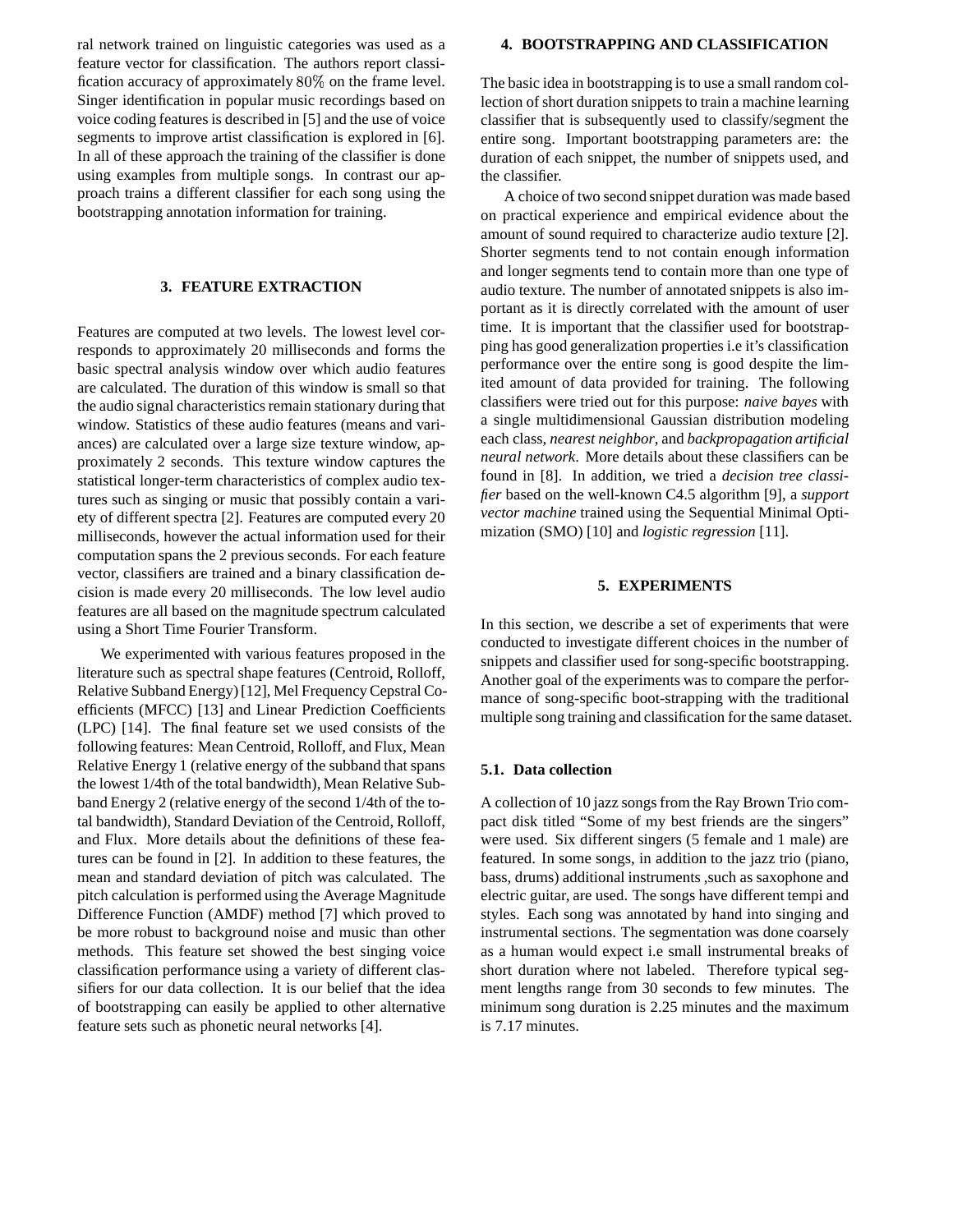ral network trained on linguistic categories was used as a feature vector for classification. The authors report classification accuracy of approximately  $80\%$  on the frame level. Singer identification in popular music recordings based on voice coding features is described in [5] and the use of voice segments to improve artist classification is explored in [6]. In all of these approach the training of the classifier is done using examples from multiple songs. In contrast our approach trains a different classifier for each song using the bootstrapping annotation information for training.

## **3. FEATURE EXTRACTION**

Features are computed at two levels. The lowest level corresponds to approximately 20 milliseconds and forms the basic spectral analysis window over which audio features are calculated. The duration of this window is small so that the audio signal characteristics remain stationary during that window. Statistics of these audio features (means and variances) are calculated over a large size texture window, approximately 2 seconds. This texture window captures the statistical longer-term characteristics of complex audio textures such as singing or music that possibly contain a variety of different spectra [2]. Features are computed every 20 milliseconds, however the actual information used for their computation spans the 2 previous seconds. For each feature vector, classifiers are trained and a binary classification decision is made every 20 milliseconds. The low level audio features are all based on the magnitude spectrum calculated using a Short Time Fourier Transform.

We experimented with various features proposed in the literature such as spectral shape features (Centroid, Rolloff, Relative Subband Energy)[12], Mel FrequencyCepstral Coefficients (MFCC) [13] and Linear Prediction Coefficients (LPC) [14]. The final feature set we used consists of the following features: Mean Centroid, Rolloff, and Flux, Mean Relative Energy 1 (relative energy of the subband that spans the lowest 1/4th of the total bandwidth), Mean Relative Subband Energy 2 (relative energy of the second 1/4th of the total bandwidth), Standard Deviation of the Centroid, Rolloff, and Flux. More details about the definitions of these features can be found in [2]. In addition to these features, the mean and standard deviation of pitch was calculated. The pitch calculation is performed using the Average Magnitude Difference Function (AMDF) method [7] which proved to be more robust to background noise and music than other methods. This feature set showed the best singing voice classification performance using a variety of different classifiers for our data collection. It is our belief that the idea of bootstrapping can easily be applied to other alternative feature sets such as phonetic neural networks [4].

#### **4. BOOTSTRAPPING AND CLASSIFICATION**

The basic idea in bootstrapping is to use a small random collection of short duration snippets to train a machine learning classifier that is subsequently used to classify/segment the entire song. Important bootstrapping parameters are: the duration of each snippet, the number of snippets used, and the classifier.

A choice of two second snippet duration was made based on practical experience and empirical evidence about the amount of sound required to characterize audio texture [2]. Shorter segments tend to not contain enough information and longer segments tend to contain more than one type of audio texture. The number of annotated snippets is also important as it is directly correlated with the amount of user time. It is important that the classifier used for bootstrapping has good generalization properties i.e it's classification performance over the entire song is good despite the limited amount of data provided for training. The following classifiers were tried out for this purpose: *naive bayes* with a single multidimensional Gaussian distribution modeling each class, *nearest neighbor*, and *backpropagation artificial neural network*. More details about these classifiers can be found in [8]. In addition, we tried a *decision tree classifier* based on the well-known C4.5 algorithm [9], a *support vector machine* trained using the Sequential Minimal Optimization (SMO) [10] and *logistic regression* [11].

## **5. EXPERIMENTS**

In this section, we describe a set of experiments that were conducted to investigate different choices in the number of snippets and classifier used for song-specific bootstrapping. Another goal of the experiments was to compare the performance of song-specific boot-strapping with the traditional multiple song training and classification for the same dataset.

# **5.1. Data collection**

A collection of 10 jazz songsfrom the Ray Brown Trio compact disk titled "Some of my best friends are the singers" were used. Six different singers (5 female and 1 male) are featured. In some songs, in addition to the jazz trio (piano, bass, drums) additional instruments ,such as saxophone and electric guitar, are used. The songs have different tempi and styles. Each song was annotated by hand into singing and instrumental sections. The segmentation was done coarsely as a human would expect i.e small instrumental breaks of short duration where not labeled. Therefore typical segment lengths range from 30 seconds to few minutes. The minimum song duration is 2.25 minutes and the maximum is 7.17 minutes.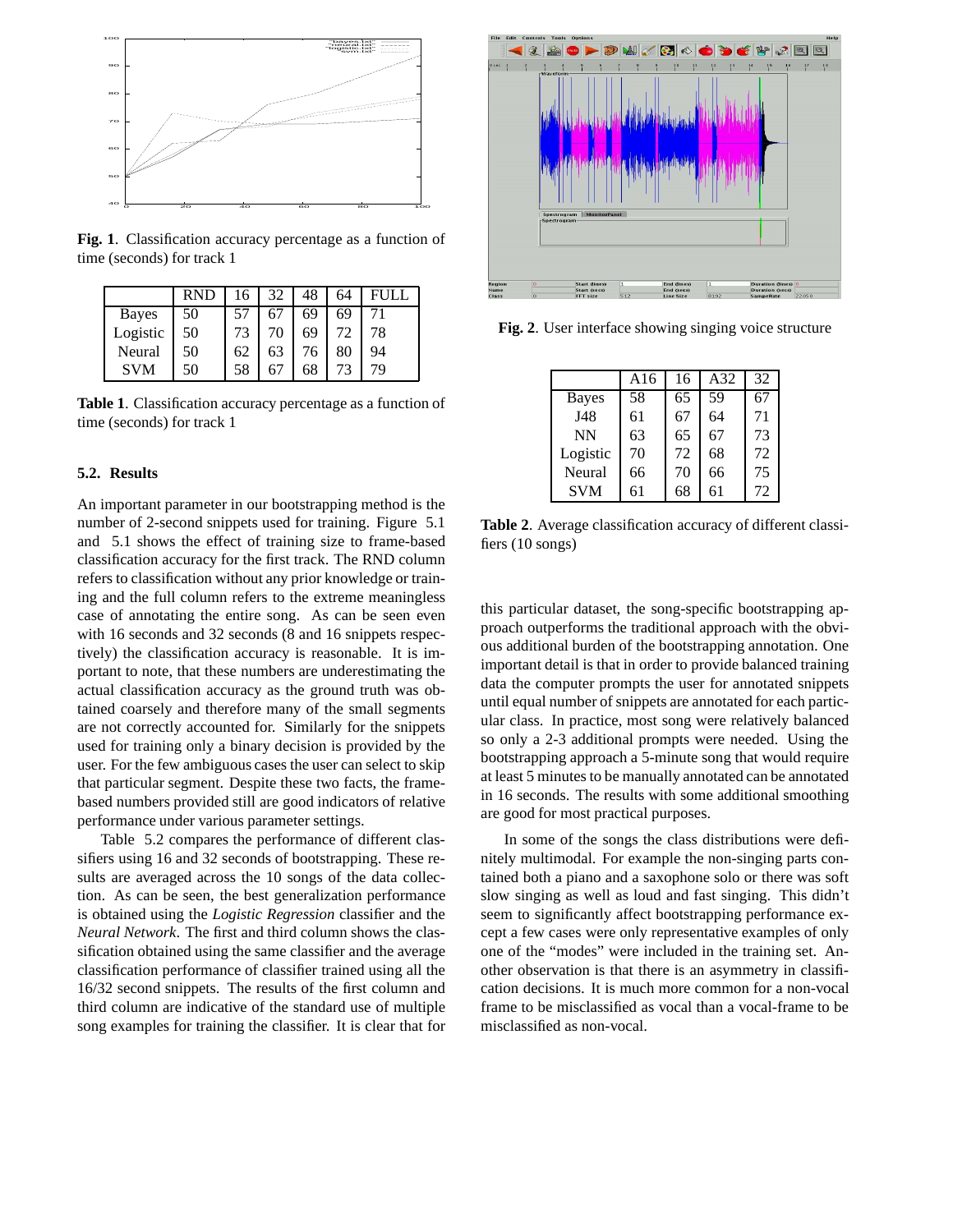

**Fig. 1**. Classification accuracy percentage as a function of time (seconds) for track 1

|              | <b>RND</b> | 16 | 32 | 48 | 64 | FULL |
|--------------|------------|----|----|----|----|------|
| <b>Bayes</b> | 50         | 57 |    | 69 | 69 |      |
| Logistic     | 50         | 73 | 70 | 69 |    | 78   |
| Neural       | 50         | 62 | 63 | 76 | 80 | 94   |
| <b>SVM</b>   | 50         | 58 |    | 68 | 73 | 79   |

**Table 1**. Classification accuracy percentage as a function of time (seconds) for track 1

# **5.2. Results**

An important parameter in our bootstrapping method is the number of 2-second snippets used for training. Figure 5.1 and 5.1 shows the effect of training size to frame-based classification accuracy for the first track. The RND column refers to classification without any prior knowledge or training and the full column refers to the extreme meaningless case of annotating the entire song. As can be seen even with 16 seconds and 32 seconds (8 and 16 snippets respectively) the classification accuracy is reasonable. It is important to note, that these numbers are underestimating the actual classification accuracy as the ground truth was obtained coarsely and therefore many of the small segments are not correctly accounted for. Similarly for the snippets used for training only a binary decision is provided by the user. For the few ambiguous cases the user can select to skip that particular segment. Despite these two facts, the framebased numbers provided still are good indicators of relative performance under various parameter settings.

Table 5.2 compares the performance of different classifiers using 16 and 32 seconds of bootstrapping. These results are averaged across the 10 songs of the data collection. As can be seen, the best generalization performance is obtained using the *Logistic Regression* classifier and the *Neural Network*. The first and third column shows the classification obtained using the same classifier and the average classification performance of classifier trained using all the 16/32 second snippets. The results of the first column and third column are indicative of the standard use of multiple song examples for training the classifier. It is clear that for



**Fig. 2**. User interface showing singing voice structure

|              | A16 | 16 | A32 | 32 |
|--------------|-----|----|-----|----|
| <b>Bayes</b> | 58  | 65 | 59  | 67 |
| J48          | 61  | 67 | 64  | 71 |
| <b>NN</b>    | 63  | 65 | 67  | 73 |
| Logistic     | 70  | 72 | 68  | 72 |
| Neural       | 66  | 70 | 66  | 75 |
| <b>SVM</b>   | 61  | 68 | 61  | 72 |

**Table 2**. Average classification accuracy of different classifiers (10 songs)

this particular dataset, the song-specific bootstrapping approach outperforms the traditional approach with the obvious additional burden of the bootstrapping annotation. One important detail is that in order to provide balanced training data the computer prompts the user for annotated snippets until equal number of snippets are annotated for each particular class. In practice, most song were relatively balanced so only a 2-3 additional prompts were needed. Using the bootstrapping approach a 5-minute song that would require at least 5 minutes to be manually annotated can be annotated in 16 seconds. The results with some additional smoothing are good for most practical purposes.

In some of the songs the class distributions were definitely multimodal. For example the non-singing parts contained both a piano and a saxophone solo or there was soft slow singing as well as loud and fast singing. This didn't seem to significantly affect bootstrapping performance except a few cases were only representative examples of only one of the "modes" were included in the training set. Another observation is that there is an asymmetry in classification decisions. It is much more common for a non-vocal frame to be misclassified as vocal than a vocal-frame to be misclassified as non-vocal.